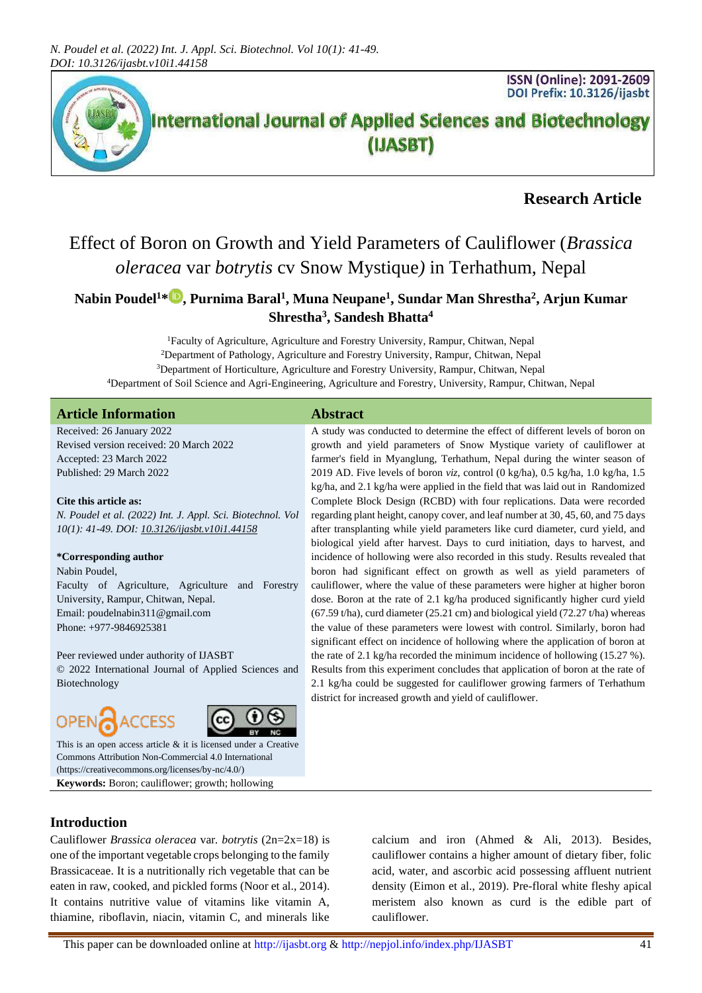

## **Research Article**

## Effect of Boron on Growth and Yield Parameters of Cauliflower (*Brassica oleracea* var *botrytis* cv Snow Mystique*)* in Terhathum, Nepal

## **Nabin Poudel<sup>1</sup>\* , Purnima Baral<sup>1</sup> , Muna Neupane<sup>1</sup> , Sundar Man Shrestha<sup>2</sup> , Arjun Kumar Shrestha<sup>3</sup> , Sandesh Bhatta<sup>4</sup>**

Faculty of Agriculture, Agriculture and Forestry University, Rampur, Chitwan, Nepal Department of Pathology, Agriculture and Forestry University, Rampur, Chitwan, Nepal Department of Horticulture, Agriculture and Forestry University, Rampur, Chitwan, Nepal Department of Soil Science and Agri-Engineering, Agriculture and Forestry, University, Rampur, Chitwan, Nepal

#### **Article Information Abstract**

Received: 26 January 2022 Revised version received: 20 March 2022 Accepted: 23 March 2022 Published: 29 March 2022

#### **Cite this article as:**

*N. Poudel et al. (2022) Int. J. Appl. Sci. Biotechnol. Vol 10(1): 41-49. DOI[: 10.3126/ijasbt.v10i1.44158](https://doi.org/10.3126/ijasbt.v10i1.44158)*

#### **\*Corresponding author**

Nabin Poudel,

Faculty of Agriculture, Agriculture and Forestry University, Rampur, Chitwan, Nepal. Email: poudelnabin311@gmail.com Phone: +977-9846925381

Peer reviewed under authority of IJASBT

© 2022 International Journal of Applied Sciences and Biotechnology

# **OPEN**



This is an open access article & it is licensed under a [Creative](https://creativecommons.org/licenses/by-nc/4.0/)  [Commons Attribution Non-Commercial 4.0 International](https://creativecommons.org/licenses/by-nc/4.0/) [\(https://creativecommons.org/licenses/by-nc/4.0/\)](https://creativecommons.org/licenses/by-nc/4.0/) **Keywords:** Boron; cauliflower; growth; hollowing

A study was conducted to determine the effect of different levels of boron on growth and yield parameters of Snow Mystique variety of cauliflower at farmer's field in Myanglung, Terhathum, Nepal during the winter season of 2019 AD. Five levels of boron *viz*, control (0 kg/ha), 0.5 kg/ha, 1.0 kg/ha, 1.5 kg/ha, and 2.1 kg/ha were applied in the field that was laid out in Randomized Complete Block Design (RCBD) with four replications. Data were recorded regarding plant height, canopy cover, and leaf number at 30, 45, 60, and 75 days after transplanting while yield parameters like curd diameter, curd yield, and biological yield after harvest. Days to curd initiation, days to harvest, and incidence of hollowing were also recorded in this study. Results revealed that boron had significant effect on growth as well as yield parameters of cauliflower, where the value of these parameters were higher at higher boron dose. Boron at the rate of 2.1 kg/ha produced significantly higher curd yield (67.59 t/ha), curd diameter (25.21 cm) and biological yield (72.27 t/ha) whereas the value of these parameters were lowest with control. Similarly, boron had significant effect on incidence of hollowing where the application of boron at the rate of 2.1 kg/ha recorded the minimum incidence of hollowing (15.27 %). Results from this experiment concludes that application of boron at the rate of 2.1 kg/ha could be suggested for cauliflower growing farmers of Terhathum district for increased growth and yield of cauliflower.

#### **Introduction**

Cauliflower *Brassica oleracea* var*. botrytis* (2n=2x=18) is one of the important vegetable crops belonging to the family Brassicaceae. It is a nutritionally rich vegetable that can be eaten in raw, cooked, and pickled forms (Noor et al., 2014). It contains nutritive value of vitamins like vitamin A, thiamine, riboflavin, niacin, vitamin C, and minerals like

calcium and iron (Ahmed & Ali, 2013). Besides, cauliflower contains a higher amount of dietary fiber, folic acid, water, and ascorbic acid possessing affluent nutrient density (Eimon et al., 2019). Pre-floral white fleshy apical meristem also known as curd is the edible part of cauliflower.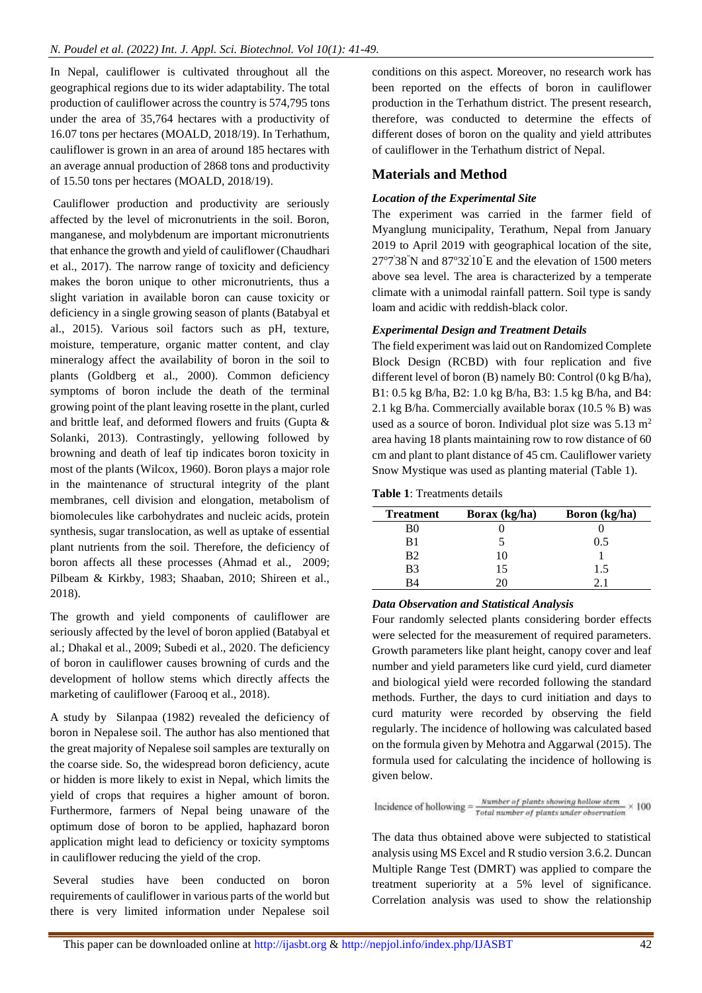In Nepal, cauliflower is cultivated throughout all the geographical regions due to its wider adaptability. The total production of cauliflower across the country is 574,795 tons under the area of 35,764 hectares with a productivity of 16.07 tons per hectares (MOALD, 2018/19). In Terhathum, cauliflower is grown in an area of around 185 hectares with an average annual production of 2868 tons and productivity of 15.50 tons per hectares (MOALD, 2018/19).

Cauliflower production and productivity are seriously affected by the level of micronutrients in the soil. Boron, manganese, and molybdenum are important micronutrients that enhance the growth and yield of cauliflower (Chaudhari et al., 2017). The narrow range of toxicity and deficiency makes the boron unique to other micronutrients, thus a slight variation in available boron can cause toxicity or deficiency in a single growing season of plants (Batabyal et al., 2015). Various soil factors such as pH, texture, moisture, temperature, organic matter content, and clay mineralogy affect the availability of boron in the soil to plants (Goldberg et al., 2000). Common deficiency symptoms of boron include the death of the terminal growing point of the plant leaving rosette in the plant, curled and brittle leaf, and deformed flowers and fruits (Gupta & Solanki, 2013). Contrastingly, yellowing followed by browning and death of leaf tip indicates boron toxicity in most of the plants (Wilcox, 1960). Boron plays a major role in the maintenance of structural integrity of the plant membranes, cell division and elongation, metabolism of biomolecules like carbohydrates and nucleic acids, protein synthesis, sugar translocation, as well as uptake of essential plant nutrients from the soil. Therefore, the deficiency of boron affects all these processes (Ahmad et al., 2009; Pilbeam & Kirkby, 1983; Shaaban, 2010; Shireen et al., 2018).

The growth and yield components of cauliflower are seriously affected by the level of boron applied (Batabyal et al.; Dhakal et al., 2009; Subedi et al., 2020. The deficiency of boron in cauliflower causes browning of curds and the development of hollow stems which directly affects the marketing of cauliflower (Farooq et al., 2018).

A study by Silanpaa (1982) revealed the deficiency of boron in Nepalese soil. The author has also mentioned that the great majority of Nepalese soil samples are texturally on the coarse side. So, the widespread boron deficiency, acute or hidden is more likely to exist in Nepal, which limits the yield of crops that requires a higher amount of boron. Furthermore, farmers of Nepal being unaware of the optimum dose of boron to be applied, haphazard boron application might lead to deficiency or toxicity symptoms in cauliflower reducing the yield of the crop.

Several studies have been conducted on boron requirements of cauliflower in various parts of the world but there is very limited information under Nepalese soil conditions on this aspect. Moreover, no research work has been reported on the effects of boron in cauliflower production in the Terhathum district. The present research, therefore, was conducted to determine the effects of different doses of boron on the quality and yield attributes of cauliflower in the Terhathum district of Nepal.

### **Materials and Method**

#### *Location of the Experimental Site*

The experiment was carried in the farmer field of Myanglung municipality, Terathum, Nepal from January 2019 to April 2019 with geographical location of the site,  $27^{\circ}7'38''$ N and  $87^{\circ}32'10''E$  and the elevation of 1500 meters above sea level. The area is characterized by a temperate climate with a unimodal rainfall pattern. Soil type is sandy loam and acidic with reddish-black color.

#### *Experimental Design and Treatment Details*

The field experiment was laid out on Randomized Complete Block Design (RCBD) with four replication and five different level of boron (B) namely B0: Control (0 kg B/ha), B1: 0.5 kg B/ha, B2: 1.0 kg B/ha, B3: 1.5 kg B/ha, and B4: 2.1 kg B/ha. Commercially available borax (10.5 % B) was used as a source of boron. Individual plot size was  $5.13 \text{ m}^2$ area having 18 plants maintaining row to row distance of 60 cm and plant to plant distance of 45 cm. Cauliflower variety Snow Mystique was used as planting material (Table 1).

**Table 1**: Treatments details

| <b>Treatment</b> | Borax (kg/ha) | Boron (kg/ha) |
|------------------|---------------|---------------|
| B0               |               |               |
| B1               |               | 0.5           |
| B <sub>2</sub>   | 10            |               |
| B <sub>3</sub>   | 15            | 1.5           |
| R4               | л             |               |

#### *Data Observation and Statistical Analysis*

Four randomly selected plants considering border effects were selected for the measurement of required parameters. Growth parameters like plant height, canopy cover and leaf number and yield parameters like curd yield, curd diameter and biological yield were recorded following the standard methods. Further, the days to curd initiation and days to curd maturity were recorded by observing the field regularly. The incidence of hollowing was calculated based on the formula given by Mehotra and Aggarwal (2015). The formula used for calculating the incidence of hollowing is given below.

$$
Incidence of hollowing = \frac{Number\ of\ plants\ showing\ hollow\ stem}{Total\ number\ of\ plants\ under\ observation} \times 100
$$

The data thus obtained above were subjected to statistical analysis using MS Excel and R studio version 3.6.2. Duncan Multiple Range Test (DMRT) was applied to compare the treatment superiority at a 5% level of significance. Correlation analysis was used to show the relationship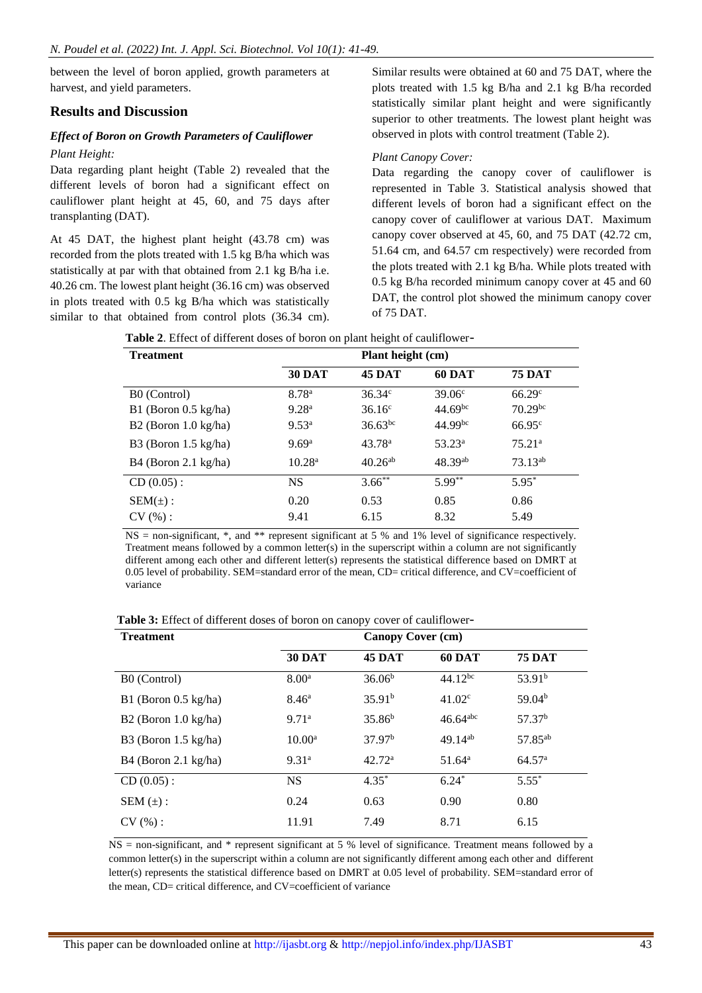between the level of boron applied, growth parameters at harvest, and yield parameters.

#### **Results and Discussion**

#### *Effect of Boron on Growth Parameters of Cauliflower*

#### *Plant Height:*

Data regarding plant height (Table 2) revealed that the different levels of boron had a significant effect on cauliflower plant height at 45, 60, and 75 days after transplanting (DAT).

At 45 DAT, the highest plant height (43.78 cm) was recorded from the plots treated with 1.5 kg B/ha which was statistically at par with that obtained from 2.1 kg B/ha i.e. 40.26 cm. The lowest plant height (36.16 cm) was observed in plots treated with 0.5 kg B/ha which was statistically similar to that obtained from control plots (36.34 cm).

Similar results were obtained at 60 and 75 DAT, where the plots treated with 1.5 kg B/ha and 2.1 kg B/ha recorded statistically similar plant height and were significantly superior to other treatments. The lowest plant height was observed in plots with control treatment (Table 2).

#### *Plant Canopy Cover:*

Data regarding the canopy cover of cauliflower is represented in Table 3. Statistical analysis showed that different levels of boron had a significant effect on the canopy cover of cauliflower at various DAT. Maximum canopy cover observed at 45, 60, and 75 DAT (42.72 cm, 51.64 cm, and 64.57 cm respectively) were recorded from the plots treated with 2.1 kg B/ha. While plots treated with 0.5 kg B/ha recorded minimum canopy cover at 45 and 60 DAT, the control plot showed the minimum canopy cover of 75 DAT.

| <b>Treatment</b>                |                    | Plant height (cm)  |                 |                    |  |
|---------------------------------|--------------------|--------------------|-----------------|--------------------|--|
|                                 | <b>30 DAT</b>      | <b>45 DAT</b>      | <b>60 DAT</b>   | <b>75 DAT</b>      |  |
| B0 (Control)                    | 8.78 <sup>a</sup>  | $36.34^{\circ}$    | $39.06^{\circ}$ | 66.29 <sup>c</sup> |  |
| B1 (Boron $0.5 \text{ kg/ha}$ ) | 9.28 <sup>a</sup>  | $36.16^{\circ}$    | $44.69^{bc}$    | $70.29^{bc}$       |  |
| B2 (Boron $1.0 \text{ kg/ha}$ ) | $9.53^{\rm a}$     | $36.63^{bc}$       | $44.99^{bc}$    | $66.95^{\circ}$    |  |
| B3 (Boron $1.5 \text{ kg/ha}$ ) | 9.69 <sup>a</sup>  | 43.78 <sup>a</sup> | $53.23^a$       | 75.21 <sup>a</sup> |  |
| $B4$ (Boron 2.1 kg/ha)          | 10.28 <sup>a</sup> | $40.26^{ab}$       | 48.39ab         | $73.13^{ab}$       |  |
| $CD(0.05)$ :                    | <b>NS</b>          | $3.66***$          | $5.99***$       | $5.95*$            |  |
| $SEM(\pm)$ :                    | 0.20               | 0.53               | 0.85            | 0.86               |  |
| CV(%):                          | 9.41               | 6.15               | 8.32            | 5.49               |  |

**Table 2**. Effect of different doses of boron on plant height of cauliflower-

NS = non-significant, \*, and \*\* represent significant at 5 % and 1% level of significance respectively. Treatment means followed by a common letter(s) in the superscript within a column are not significantly different among each other and different letter(s) represents the statistical difference based on DMRT at 0.05 level of probability. SEM=standard error of the mean, CD= critical difference, and CV=coefficient of variance

**Table 3:** Effect of different doses of boron on canopy cover of cauliflower-

| <b>Treatment</b>                |                   | <b>Canopy Cover (cm)</b> |                        |                     |
|---------------------------------|-------------------|--------------------------|------------------------|---------------------|
|                                 | <b>30 DAT</b>     | <b>45 DAT</b>            | <b>60 DAT</b>          | <b>75 DAT</b>       |
| B0 (Control)                    | 8.00 <sup>a</sup> | 36.06 <sup>b</sup>       | $44.12^{bc}$           | 53.91 <sup>b</sup>  |
| $B1$ (Boron 0.5 kg/ha)          | $8.46^{\rm a}$    | 35.91 <sup>b</sup>       | 41.02 <sup>c</sup>     | 59.04 <sup>b</sup>  |
| $B2$ (Boron 1.0 kg/ha)          | 9.71 <sup>a</sup> | 35.86 <sup>b</sup>       | $46.64$ <sup>abc</sup> | 57.37 <sup>b</sup>  |
| B3 (Boron $1.5 \text{ kg/ha}$ ) | $10.00^{\rm a}$   | 37.97 <sup>b</sup>       | 49.14ab                | 57.85 <sup>ab</sup> |
| $B4$ (Boron 2.1 kg/ha)          | 9.31 <sup>a</sup> | 42.72 <sup>a</sup>       | $51.64^a$              | 64.57 <sup>a</sup>  |
| $CD(0.05)$ :                    | <b>NS</b>         | $4.35*$                  | $6.24*$                | $5.55*$             |
| SEM $(\pm)$ :                   | 0.24              | 0.63                     | 0.90                   | 0.80                |
| CV(%):                          | 11.91             | 7.49                     | 8.71                   | 6.15                |

 $NS =$  non-significant, and  $*$  represent significant at 5 % level of significance. Treatment means followed by a common letter(s) in the superscript within a column are not significantly different among each other and different letter(s) represents the statistical difference based on DMRT at 0.05 level of probability. SEM=standard error of the mean, CD= critical difference, and CV=coefficient of variance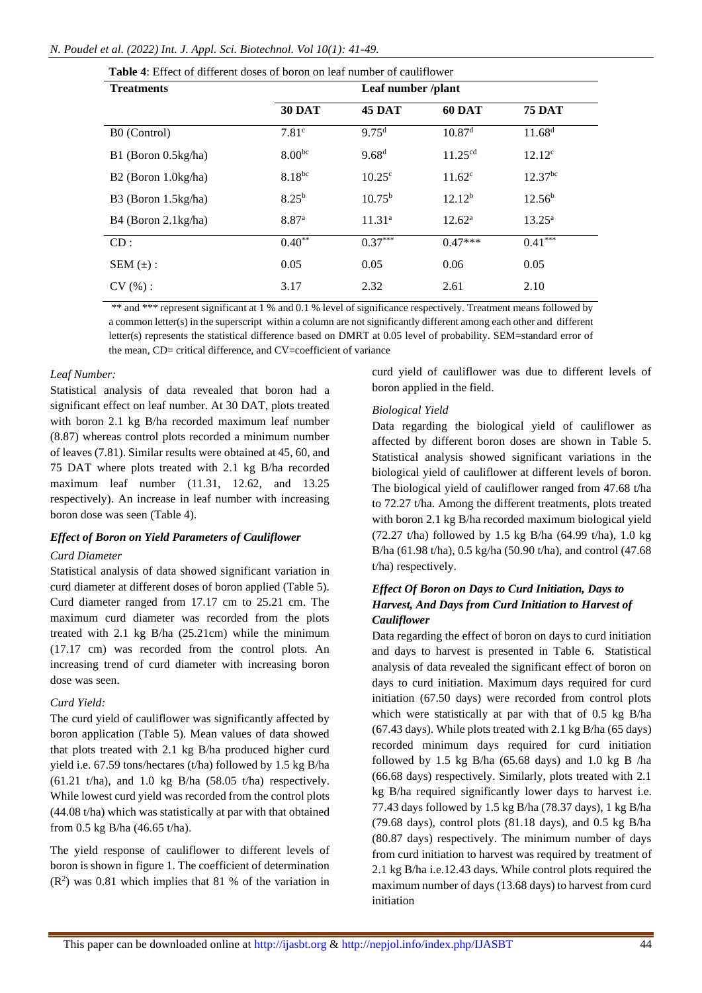#### *N. Poudel et al. (2022) Int. J. Appl. Sci. Biotechnol. Vol 10(1): 41-49.*

| <b>Table 4:</b> Effect of different doses of boron on leaf number of cauliflower |                    |                    |                     |                    |  |  |
|----------------------------------------------------------------------------------|--------------------|--------------------|---------------------|--------------------|--|--|
| <b>Treatments</b>                                                                | Leaf number /plant |                    |                     |                    |  |  |
|                                                                                  | <b>30 DAT</b>      | <b>45 DAT</b>      | <b>60 DAT</b>       | <b>75 DAT</b>      |  |  |
| B0 (Control)                                                                     | 7.81 <sup>c</sup>  | 9.75 <sup>d</sup>  | 10.87 <sup>d</sup>  | 11.68 <sup>d</sup> |  |  |
| $B1$ (Boron 0.5kg/ha)                                                            | $8.00^{bc}$        | 9.68 <sup>d</sup>  | 11.25 <sup>cd</sup> | $12.12^c$          |  |  |
| $B2$ (Boron 1.0kg/ha)                                                            | $8.18^{bc}$        | 10.25 <sup>c</sup> | $11.62^{\circ}$     | $12.37^{bc}$       |  |  |
| $B3$ (Boron 1.5kg/ha)                                                            | $8.25^{b}$         | $10.75^{b}$        | 12.12 <sup>b</sup>  | 12.56 <sup>b</sup> |  |  |
| B4 (Boron 2.1 kg/ha)                                                             | 8.87 <sup>a</sup>  | 11.31 <sup>a</sup> | $12.62^{\rm a}$     | $13.25^{\rm a}$    |  |  |
| CD:                                                                              | $0.40**$           | $0.37***$          | $0.47***$           | $0.41***$          |  |  |
| SEM $(\pm)$ :                                                                    | 0.05               | 0.05               | 0.06                | 0.05               |  |  |
| CV(%):                                                                           | 3.17               | 2.32               | 2.61                | 2.10               |  |  |

\*\* and \*\*\* represent significant at 1 % and 0.1 % level of significance respectively. Treatment means followed by a common letter(s) in the superscript within a column are not significantly different among each other and different letter(s) represents the statistical difference based on DMRT at 0.05 level of probability. SEM=standard error of the mean, CD= critical difference, and CV=coefficient of variance

#### *Leaf Number:*

Statistical analysis of data revealed that boron had a significant effect on leaf number. At 30 DAT, plots treated with boron 2.1 kg B/ha recorded maximum leaf number (8.87) whereas control plots recorded a minimum number of leaves (7.81). Similar results were obtained at 45, 60, and 75 DAT where plots treated with 2.1 kg B/ha recorded maximum leaf number (11.31, 12.62, and 13.25 respectively). An increase in leaf number with increasing boron dose was seen (Table 4).

#### *Effect of Boron on Yield Parameters of Cauliflower*

#### *Curd Diameter*

Statistical analysis of data showed significant variation in curd diameter at different doses of boron applied (Table 5). Curd diameter ranged from 17.17 cm to 25.21 cm. The maximum curd diameter was recorded from the plots treated with 2.1 kg B/ha (25.21cm) while the minimum (17.17 cm) was recorded from the control plots. An increasing trend of curd diameter with increasing boron dose was seen.

#### *Curd Yield:*

The curd yield of cauliflower was significantly affected by boron application (Table 5). Mean values of data showed that plots treated with 2.1 kg B/ha produced higher curd yield i.e. 67.59 tons/hectares (t/ha) followed by 1.5 kg B/ha  $(61.21 \text{ t/ha})$ , and 1.0 kg B/ha  $(58.05 \text{ t/ha})$  respectively. While lowest curd yield was recorded from the control plots (44.08 t/ha) which was statistically at par with that obtained from 0.5 kg B/ha (46.65 t/ha).

The yield response of cauliflower to different levels of boron is shown in figure 1. The coefficient of determination  $(R<sup>2</sup>)$  was 0.81 which implies that 81 % of the variation in

curd yield of cauliflower was due to different levels of boron applied in the field.

#### *Biological Yield*

Data regarding the biological yield of cauliflower as affected by different boron doses are shown in Table 5. Statistical analysis showed significant variations in the biological yield of cauliflower at different levels of boron. The biological yield of cauliflower ranged from 47.68 t/ha to 72.27 t/ha. Among the different treatments, plots treated with boron 2.1 kg B/ha recorded maximum biological yield (72.27 t/ha) followed by 1.5 kg B/ha (64.99 t/ha), 1.0 kg B/ha (61.98 t/ha), 0.5 kg/ha (50.90 t/ha), and control (47.68 t/ha) respectively.

#### *Effect Of Boron on Days to Curd Initiation, Days to Harvest, And Days from Curd Initiation to Harvest of Cauliflower*

Data regarding the effect of boron on days to curd initiation and days to harvest is presented in Table 6. Statistical analysis of data revealed the significant effect of boron on days to curd initiation. Maximum days required for curd initiation (67.50 days) were recorded from control plots which were statistically at par with that of 0.5 kg B/ha (67.43 days). While plots treated with 2.1 kg B/ha (65 days) recorded minimum days required for curd initiation followed by 1.5 kg B/ha (65.68 days) and 1.0 kg B /ha (66.68 days) respectively. Similarly, plots treated with 2.1 kg B/ha required significantly lower days to harvest i.e. 77.43 days followed by 1.5 kg B/ha (78.37 days), 1 kg B/ha (79.68 days), control plots  $(81.18 \text{ days})$ , and  $0.5 \text{ kg B/ha}$ (80.87 days) respectively. The minimum number of days from curd initiation to harvest was required by treatment of 2.1 kg B/ha i.e.12.43 days. While control plots required the maximum number of days (13.68 days) to harvest from curd initiation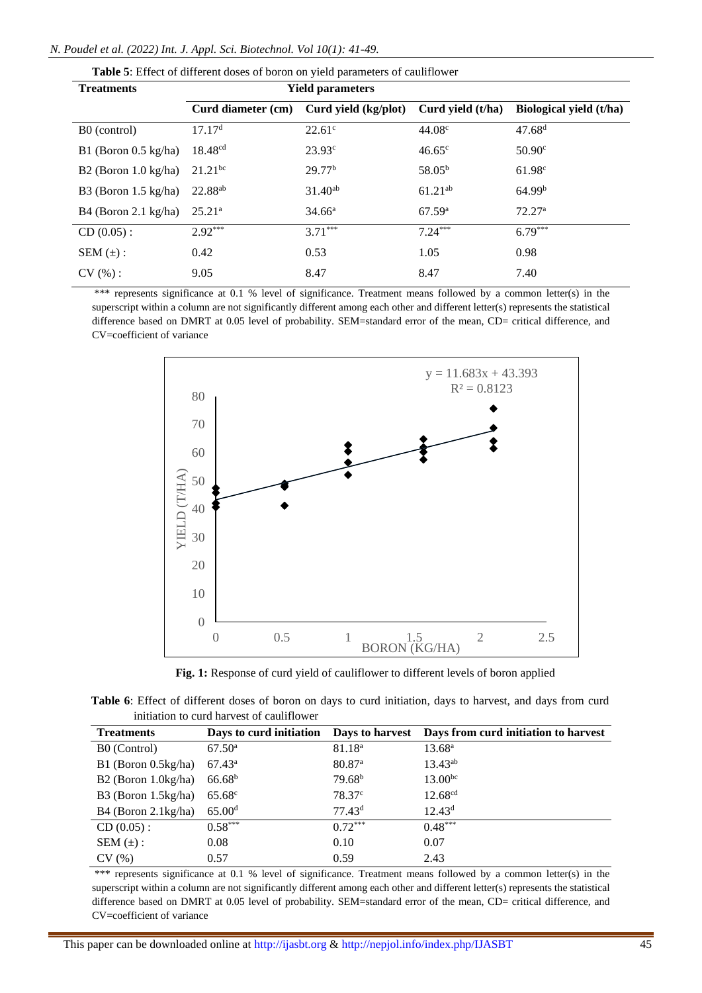| Table 5: Effect of different doses of boron on yield parameters of cauliflower |                         |                      |                   |                         |  |  |
|--------------------------------------------------------------------------------|-------------------------|----------------------|-------------------|-------------------------|--|--|
| <b>Treatments</b>                                                              | <b>Yield parameters</b> |                      |                   |                         |  |  |
|                                                                                | Curd diameter (cm)      | Curd yield (kg/plot) | Curd yield (t/ha) | Biological yield (t/ha) |  |  |
| B0 (control)                                                                   | 17.17 <sup>d</sup>      | $22.61^{\circ}$      | 44.08c            | 47.68 <sup>d</sup>      |  |  |
| B1 (Boron $0.5 \text{ kg/ha}$ )                                                | 18.48 <sup>cd</sup>     | $23.93^{\circ}$      | $46.65^{\circ}$   | $50.90^\circ$           |  |  |
| B2 (Boron $1.0 \text{ kg/ha}$ )                                                | $21.21^{bc}$            | 29.77 <sup>b</sup>   | $58.05^{b}$       | 61.98c                  |  |  |
| B3 (Boron $1.5 \text{ kg/ha}$ )                                                | 22.88 <sup>ab</sup>     | $31.40^{ab}$         | $61.21^{ab}$      | 64.99 <sup>b</sup>      |  |  |
| $B4$ (Boron 2.1 kg/ha)                                                         | $25.21^a$               | $34.66^{\rm a}$      | 67.59a            | 72.27 <sup>a</sup>      |  |  |
| $CD(0.05)$ :                                                                   | $2.92***$               | $3.71***$            | $7.24***$         | $6.79***$               |  |  |
| SEM $(\pm)$ :                                                                  | 0.42                    | 0.53                 | 1.05              | 0.98                    |  |  |
| CV(%):                                                                         | 9.05                    | 8.47                 | 8.47              | 7.40                    |  |  |

\*\*\* represents significance at 0.1 % level of significance. Treatment means followed by a common letter(s) in the superscript within a column are not significantly different among each other and different letter(s) represents the statistical difference based on DMRT at 0.05 level of probability. SEM=standard error of the mean, CD= critical difference, and CV=coefficient of variance



**Fig. 1:** Response of curd yield of cauliflower to different levels of boron applied

| Table 6: Effect of different doses of boron on days to curd initiation, days to harvest, and days from curd |  |  |
|-------------------------------------------------------------------------------------------------------------|--|--|
| initiation to curd harvest of cauliflower                                                                   |  |  |

| <b>Treatments</b>             | Days to curd initiation | Days to harvest      | Days from curd initiation to harvest |
|-------------------------------|-------------------------|----------------------|--------------------------------------|
| B0 (Control)                  | $67.50^{\rm a}$         | 81.18 <sup>a</sup>   | 13.68 <sup>a</sup>                   |
| B1 (Boron 0.5kg/ha)           | $67.43^{\rm a}$         | $80.87$ <sup>a</sup> | $13.43^{ab}$                         |
| $B2$ (Boron 1.0kg/ha)         | 66.68 <sup>b</sup>      | 79.68 <sup>b</sup>   | $13.00^{bc}$                         |
| B3 (Boron $1.5\text{kg/ha}$ ) | $65.68^{\circ}$         | 78.37 <sup>c</sup>   | 12.68 <sup>cd</sup>                  |
| $B4$ (Boron 2.1 kg/ha)        | 65.00 <sup>d</sup>      | 77.43 <sup>d</sup>   | $12.43^d$                            |
| $CD(0.05)$ :                  | $0.58***$               | $0.72***$            | $0.48***$                            |
| SEM $(\pm)$ :                 | 0.08                    | 0.10                 | 0.07                                 |
| CV(%)                         | 0.57                    | 0.59                 | 2.43                                 |

\*\*\* represents significance at 0.1 % level of significance. Treatment means followed by a common letter(s) in the superscript within a column are not significantly different among each other and different letter(s) represents the statistical difference based on DMRT at 0.05 level of probability. SEM=standard error of the mean, CD= critical difference, and CV=coefficient of variance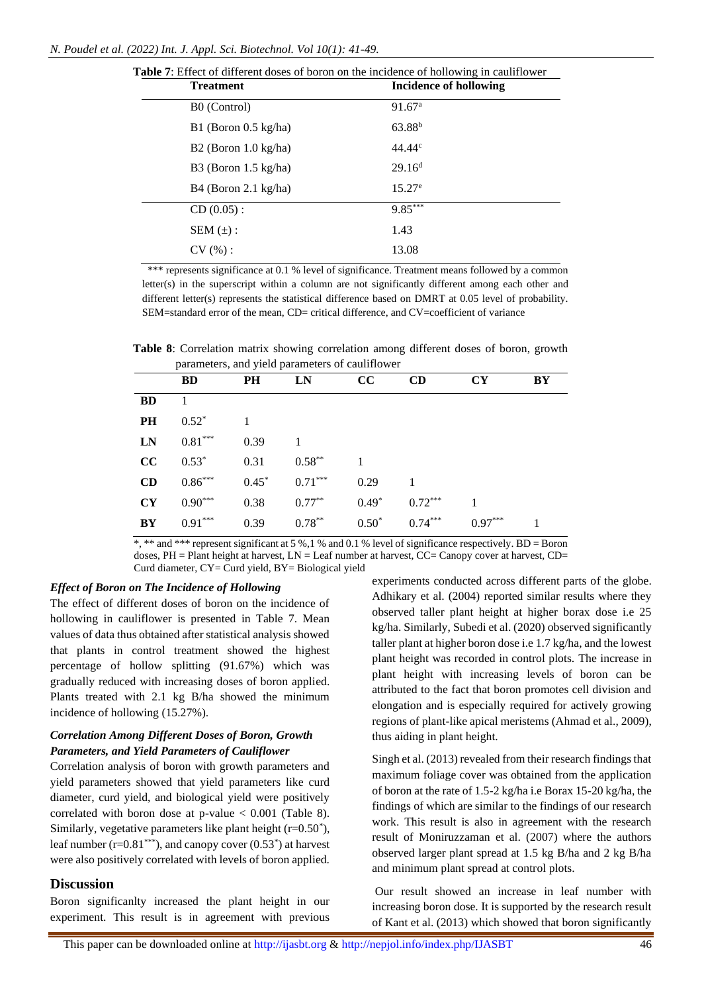| <b>DIE</b> 1: Effect of different doses of boron on the incidence of hollowing in cauliflower |                        |  |  |  |
|-----------------------------------------------------------------------------------------------|------------------------|--|--|--|
| <b>Treatment</b>                                                                              | Incidence of hollowing |  |  |  |
| B0 (Control)                                                                                  | 91.67 <sup>a</sup>     |  |  |  |
| $B1$ (Boron 0.5 kg/ha)                                                                        | 63.88 <sup>b</sup>     |  |  |  |
| $B2$ (Boron 1.0 kg/ha)                                                                        | $44.44^c$              |  |  |  |
| B3 (Boron $1.5 \text{ kg/ha}$ )                                                               | 29.16 <sup>d</sup>     |  |  |  |
| $B4$ (Boron 2.1 kg/ha)                                                                        | $15.27^e$              |  |  |  |
| $CD(0.05)$ :                                                                                  | $9.85***$              |  |  |  |
| SEM $(\pm)$ :                                                                                 | 1.43                   |  |  |  |
| CV(%):                                                                                        | 13.08                  |  |  |  |
|                                                                                               |                        |  |  |  |

**Table 7**: Effect of different doses of boron on the incidence of hollowing in cauliflower

\*\*\* represents significance at 0.1 % level of significance. Treatment means followed by a common letter(s) in the superscript within a column are not significantly different among each other and different letter(s) represents the statistical difference based on DMRT at 0.05 level of probability. SEM=standard error of the mean, CD= critical difference, and CV=coefficient of variance

**Table 8**: Correlation matrix showing correlation among different doses of boron, growth parameters, and yield parameters of cauliflower

|           |           |         | parameters, and yield parameters of eauthfower |         |           |           |    |
|-----------|-----------|---------|------------------------------------------------|---------|-----------|-----------|----|
|           | <b>BD</b> | PH      | LN                                             | cc      | CD        | <b>CY</b> | BY |
| <b>BD</b> |           |         |                                                |         |           |           |    |
| PH        | $0.52*$   |         |                                                |         |           |           |    |
| <b>LN</b> | $0.81***$ | 0.39    |                                                |         |           |           |    |
| cc        | $0.53*$   | 0.31    | $0.58***$                                      |         |           |           |    |
| CD        | $0.86***$ | $0.45*$ | $0.71***$                                      | 0.29    | 1         |           |    |
| CY        | $0.90***$ | 0.38    | $0.77***$                                      | $0.49*$ | $0.72***$ |           |    |
| BY        | $0.91***$ | 0.39    | $0.78***$                                      | $0.50*$ | $0.74***$ | $0.97***$ | 1  |
|           |           |         |                                                |         |           |           |    |

 $*$ ,  $*$  and  $**$  represent significant at 5 %.1 % and 0.1 % level of significance respectively. BD = Boron doses,  $PH =$  Plant height at harvest,  $LN =$  Leaf number at harvest,  $CC =$  Canopy cover at harvest,  $CD =$ Curd diameter, CY= Curd yield, BY= Biological yield

#### *Effect of Boron on The Incidence of Hollowing*

The effect of different doses of boron on the incidence of hollowing in cauliflower is presented in Table 7. Mean values of data thus obtained after statistical analysis showed that plants in control treatment showed the highest percentage of hollow splitting (91.67%) which was gradually reduced with increasing doses of boron applied. Plants treated with 2.1 kg B/ha showed the minimum incidence of hollowing (15.27%).

#### *Correlation Among Different Doses of Boron, Growth Parameters, and Yield Parameters of Cauliflower*

Correlation analysis of boron with growth parameters and yield parameters showed that yield parameters like curd diameter, curd yield, and biological yield were positively correlated with boron dose at p-value < 0.001 (Table 8). Similarly, vegetative parameters like plant height  $(r=0.50^*)$ , leaf number  $(r=0.81^{***})$ , and canopy cover  $(0.53^*)$  at harvest were also positively correlated with levels of boron applied.

#### **Discussion**

Boron significanlty increased the plant height in our experiment. This result is in agreement with previous

experiments conducted across different parts of the globe. Adhikary et al. (2004) reported similar results where they observed taller plant height at higher borax dose i.e 25 kg/ha. Similarly, Subedi et al. (2020) observed significantly taller plant at higher boron dose i.e 1.7 kg/ha, and the lowest plant height was recorded in control plots. The increase in plant height with increasing levels of boron can be attributed to the fact that boron promotes cell division and elongation and is especially required for actively growing regions of plant-like apical meristems (Ahmad et al., 2009), thus aiding in plant height.

Singh et al. (2013) revealed from their research findings that maximum foliage cover was obtained from the application of boron at the rate of 1.5-2 kg/ha i.e Borax 15-20 kg/ha, the findings of which are similar to the findings of our research work. This result is also in agreement with the research result of Moniruzzaman et al. (2007) where the authors observed larger plant spread at 1.5 kg B/ha and 2 kg B/ha and minimum plant spread at control plots.

Our result showed an increase in leaf number with increasing boron dose. It is supported by the research result of Kant et al. (2013) which showed that boron significantly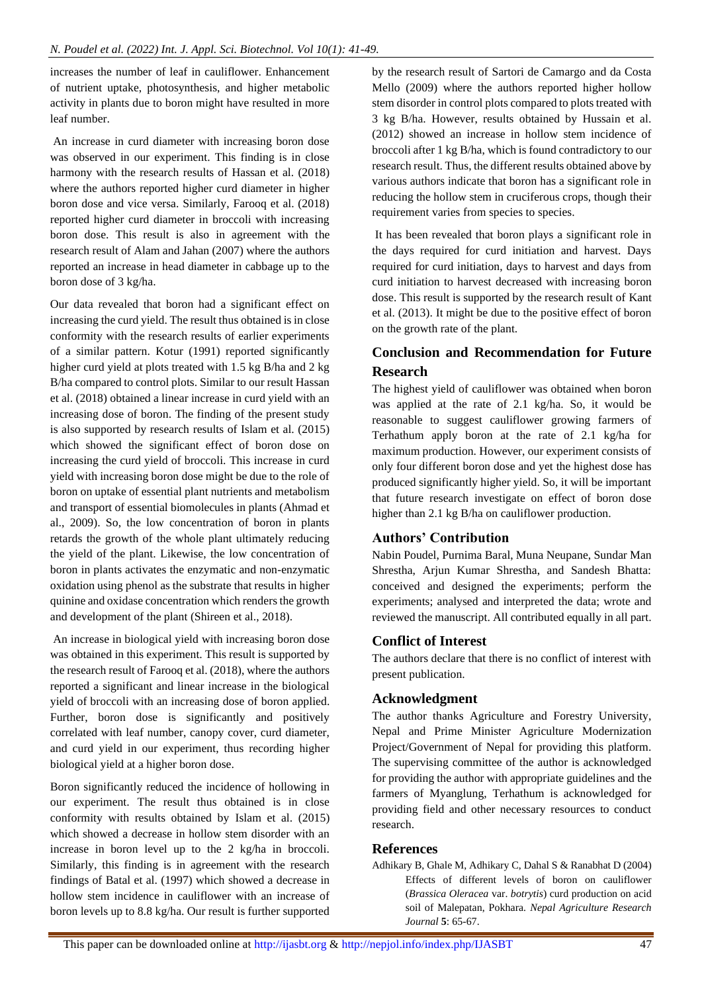increases the number of leaf in cauliflower. Enhancement of nutrient uptake, photosynthesis, and higher metabolic activity in plants due to boron might have resulted in more leaf number.

An increase in curd diameter with increasing boron dose was observed in our experiment. This finding is in close harmony with the research results of Hassan et al. (2018) where the authors reported higher curd diameter in higher boron dose and vice versa. Similarly, Farooq et al. (2018) reported higher curd diameter in broccoli with increasing boron dose. This result is also in agreement with the research result of Alam and Jahan (2007) where the authors reported an increase in head diameter in cabbage up to the boron dose of 3 kg/ha.

Our data revealed that boron had a significant effect on increasing the curd yield. The result thus obtained is in close conformity with the research results of earlier experiments of a similar pattern. Kotur (1991) reported significantly higher curd yield at plots treated with 1.5 kg B/ha and 2 kg B/ha compared to control plots. Similar to our result Hassan et al. (2018) obtained a linear increase in curd yield with an increasing dose of boron. The finding of the present study is also supported by research results of Islam et al. (2015) which showed the significant effect of boron dose on increasing the curd yield of broccoli. This increase in curd yield with increasing boron dose might be due to the role of boron on uptake of essential plant nutrients and metabolism and transport of essential biomolecules in plants (Ahmad et al., 2009). So, the low concentration of boron in plants retards the growth of the whole plant ultimately reducing the yield of the plant. Likewise, the low concentration of boron in plants activates the enzymatic and non-enzymatic oxidation using phenol as the substrate that results in higher quinine and oxidase concentration which renders the growth and development of the plant (Shireen et al., 2018).

An increase in biological yield with increasing boron dose was obtained in this experiment. This result is supported by the research result of Farooq et al. (2018), where the authors reported a significant and linear increase in the biological yield of broccoli with an increasing dose of boron applied. Further, boron dose is significantly and positively correlated with leaf number, canopy cover, curd diameter, and curd yield in our experiment, thus recording higher biological yield at a higher boron dose.

Boron significantly reduced the incidence of hollowing in our experiment. The result thus obtained is in close conformity with results obtained by Islam et al. (2015) which showed a decrease in hollow stem disorder with an increase in boron level up to the 2 kg/ha in broccoli. Similarly, this finding is in agreement with the research findings of Batal et al. (1997) which showed a decrease in hollow stem incidence in cauliflower with an increase of boron levels up to 8.8 kg/ha. Our result is further supported by the research result of Sartori de Camargo and da Costa Mello (2009) where the authors reported higher hollow stem disorder in control plots compared to plots treated with 3 kg B/ha. However, results obtained by Hussain et al. (2012) showed an increase in hollow stem incidence of broccoli after 1 kg B/ha, which is found contradictory to our research result. Thus, the different results obtained above by various authors indicate that boron has a significant role in reducing the hollow stem in cruciferous crops, though their requirement varies from species to species.

It has been revealed that boron plays a significant role in the days required for curd initiation and harvest. Days required for curd initiation, days to harvest and days from curd initiation to harvest decreased with increasing boron dose. This result is supported by the research result of Kant et al. (2013). It might be due to the positive effect of boron on the growth rate of the plant.

## **Conclusion and Recommendation for Future Research**

The highest yield of cauliflower was obtained when boron was applied at the rate of 2.1 kg/ha. So, it would be reasonable to suggest cauliflower growing farmers of Terhathum apply boron at the rate of 2.1 kg/ha for maximum production. However, our experiment consists of only four different boron dose and yet the highest dose has produced significantly higher yield. So, it will be important that future research investigate on effect of boron dose higher than 2.1 kg B/ha on cauliflower production.

#### **Authors' Contribution**

Nabin Poudel, Purnima Baral, Muna Neupane, Sundar Man Shrestha, Arjun Kumar Shrestha, and Sandesh Bhatta: conceived and designed the experiments; perform the experiments; analysed and interpreted the data; wrote and reviewed the manuscript. All contributed equally in all part.

#### **Conflict of Interest**

The authors declare that there is no conflict of interest with present publication.

#### **Acknowledgment**

The author thanks Agriculture and Forestry University, Nepal and Prime Minister Agriculture Modernization Project/Government of Nepal for providing this platform. The supervising committee of the author is acknowledged for providing the author with appropriate guidelines and the farmers of Myanglung, Terhathum is acknowledged for providing field and other necessary resources to conduct research.

#### **References**

Adhikary B, Ghale M, Adhikary C, Dahal S & Ranabhat D (2004) Effects of different levels of boron on cauliflower (*Brassica Oleracea* var. *botrytis*) curd production on acid soil of Malepatan, Pokhara. *Nepal Agriculture Research Journal* **5**: 65-67.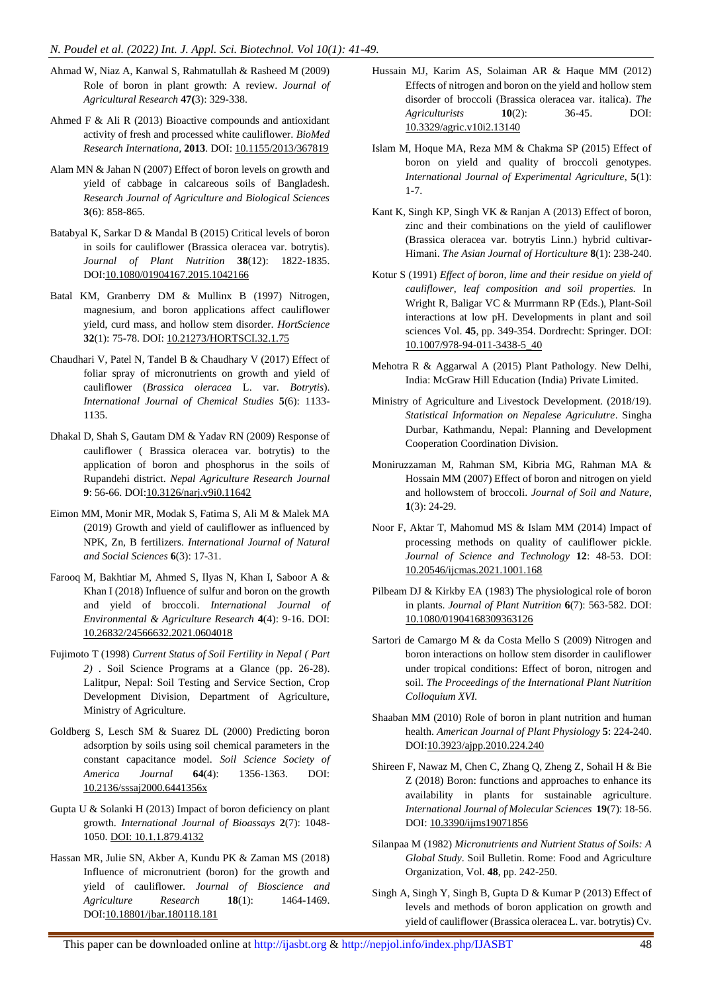- Ahmad W, Niaz A, Kanwal S, Rahmatullah & Rasheed M (2009) Role of boron in plant growth: A review. *Journal of Agricultural Research* **47(**3): 329-338.
- Ahmed F & Ali R (2013) Bioactive compounds and antioxidant activity of fresh and processed white cauliflower. *BioMed Research Internationa,* **2013**. DOI: 10.1155/2013/367819
- Alam MN & Jahan N (2007) Effect of boron levels on growth and yield of cabbage in calcareous soils of Bangladesh. *Research Journal of Agriculture and Biological Sciences* **3**(6): 858-865.
- Batabyal K, Sarkar D & Mandal B (2015) Critical levels of boron in soils for cauliflower (Brassica oleracea var. botrytis). *Journal of Plant Nutrition* **38**(12): 1822-1835. DOI:10.1080/01904167.2015.1042166
- Batal KM, Granberry DM & Mullinx B (1997) Nitrogen, magnesium, and boron applications affect cauliflower yield, curd mass, and hollow stem disorder. *HortScience*  **32**(1): 75-78. DOI: 10.21273/HORTSCI.32.1.75
- Chaudhari V, Patel N, Tandel B & Chaudhary V (2017) Effect of foliar spray of micronutrients on growth and yield of cauliflower (*Brassica oleracea* L. var. *Botrytis*). *International Journal of Chemical Studies* **5**(6): 1133- 1135.
- Dhakal D, Shah S, Gautam DM & Yadav RN (2009) Response of cauliflower ( Brassica oleracea var. botrytis) to the application of boron and phosphorus in the soils of Rupandehi district. *Nepal Agriculture Research Journal* **9**: 56-66. DOI:10.3126/narj.v9i0.11642
- Eimon MM, Monir MR, Modak S, Fatima S, Ali M & Malek MA (2019) Growth and yield of cauliflower as influenced by NPK, Zn, B fertilizers. *International Journal of Natural and Social Sciences* **6**(3): 17-31.
- Farooq M, Bakhtiar M, Ahmed S, Ilyas N, Khan I, Saboor A & Khan I (2018) Influence of sulfur and boron on the growth and yield of broccoli. *International Journal of Environmental & Agriculture Research* **4**(4): 9-16. DOI: 10.26832/24566632.2021.0604018
- Fujimoto T (1998) *Current Status of Soil Fertility in Nepal ( Part 2)* . Soil Science Programs at a Glance (pp. 26-28). Lalitpur, Nepal: Soil Testing and Service Section, Crop Development Division, Department of Agriculture, Ministry of Agriculture.
- Goldberg S, Lesch SM & Suarez DL (2000) Predicting boron adsorption by soils using soil chemical parameters in the constant capacitance model. *Soil Science Society of America Journal* **64**(4): 1356-1363. DOI: 10.2136/sssaj2000.6441356x
- Gupta U & Solanki H (2013) Impact of boron deficiency on plant growth. *International Journal of Bioassays* **2**(7): 1048- 1050. DOI: 10.1.1.879.4132
- Hassan MR, Julie SN, Akber A, Kundu PK & Zaman MS (2018) Influence of micronutrient (boron) for the growth and yield of cauliflower. *Journal of Bioscience and Agriculture Research* **18**(1): 1464-1469. DOI:10.18801/jbar.180118.181
- Hussain MJ, Karim AS, Solaiman AR & Haque MM (2012) Effects of nitrogen and boron on the yield and hollow stem disorder of broccoli (Brassica oleracea var. italica). *The Agriculturists* **10**(2): 36-45. DOI: 10.3329/agric.v10i2.13140
- Islam M, Hoque MA, Reza MM & Chakma SP (2015) Effect of boron on yield and quality of broccoli genotypes. *International Journal of Experimental Agriculture*, **5**(1): 1-7.
- Kant K, Singh KP, Singh VK & Ranjan A (2013) Effect of boron, zinc and their combinations on the yield of cauliflower (Brassica oleracea var. botrytis Linn.) hybrid cultivar-Himani. *The Asian Journal of Horticulture* **8**(1): 238-240.
- Kotur S (1991) *Effect of boron, lime and their residue on yield of cauliflower, leaf composition and soil properties.* In Wright R, Baligar VC & Murrmann RP (Eds.), Plant-Soil interactions at low pH. Developments in plant and soil sciences Vol. **45**, pp. 349-354. Dordrecht: Springer. DOI: [10.1007/978-94-011-3438-5\\_40](https://doi.org/10.1007/978-94-011-3438-5_40)
- Mehotra R & Aggarwal A (2015) Plant Pathology. New Delhi, India: McGraw Hill Education (India) Private Limited.
- Ministry of Agriculture and Livestock Development. (2018/19). *Statistical Information on Nepalese Agriculutre*. Singha Durbar, Kathmandu, Nepal: Planning and Development Cooperation Coordination Division.
- Moniruzzaman M, Rahman SM, Kibria MG, Rahman MA & Hossain MM (2007) Effect of boron and nitrogen on yield and hollowstem of broccoli. *Journal of Soil and Nature*, **1**(3): 24-29.
- Noor F, Aktar T, Mahomud MS & Islam MM (2014) Impact of processing methods on quality of cauliflower pickle. *Journal of Science and Technology* **12**: 48-53. DOI: 10.20546/ijcmas.2021.1001.168
- Pilbeam DJ & Kirkby EA (1983) The physiological role of boron in plants. *Journal of Plant Nutrition* **6**(7): 563-582. DOI: [10.1080/01904168309363126](https://doi.org/10.1080/01904168309363126)
- Sartori de Camargo M & da Costa Mello S (2009) Nitrogen and boron interactions on hollow stem disorder in cauliflower under tropical conditions: Effect of boron, nitrogen and soil. *The Proceedings of the International Plant Nutrition Colloquium XVI.*
- Shaaban MM (2010) Role of boron in plant nutrition and human health. *American Journal of Plant Physiology* **5**: 224-240. DOI:10.3923/ajpp.2010.224.240
- Shireen F, Nawaz M, Chen C, Zhang Q, Zheng Z, Sohail H & Bie Z (2018) Boron: functions and approaches to enhance its availability in plants for sustainable agriculture. *International Journal of Molecular Sciences* **19**(7): 18-56. DOI: 10.3390/ijms19071856
- Silanpaa M (1982) *Micronutrients and Nutrient Status of Soils: A Global Study*. Soil Bulletin. Rome: Food and Agriculture Organization, Vol. **48**, pp. 242-250.
- Singh A, Singh Y, Singh B, Gupta D & Kumar P (2013) Effect of levels and methods of boron application on growth and yield of cauliflower (Brassica oleracea L. var. botrytis) Cv.